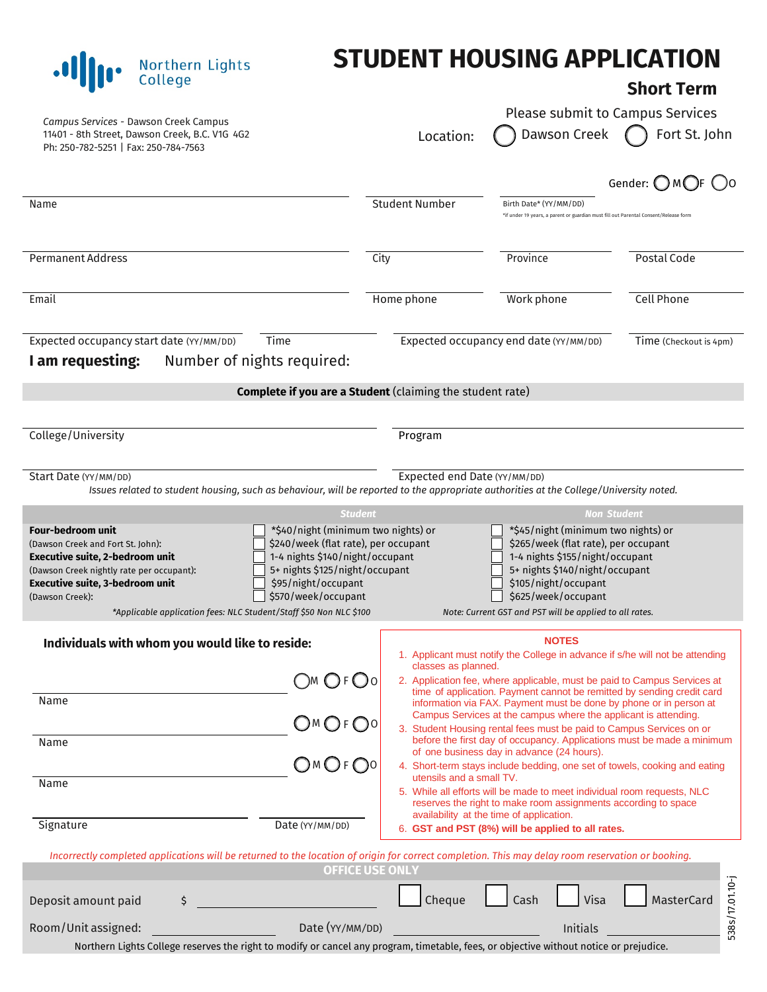## **STUDENT HOUSING APPLICATION**

## **Short Term**

| Campus Services - Dawson Creek Campus<br>11401 - 8th Street, Dawson Creek, B.C. V1G 4G2<br>Ph: 250-782-5251   Fax: 250-784-7563                                                                                                                                                  |                                                                                                                                                                                                | Location:                                                                                                                                                                                                                                                                                                                                                                                                                                                                                                                                                                                        | Dawson Creek                                                                                                                                                                                                                                               | Please submit to Campus Services<br>Fort St. John                             |
|----------------------------------------------------------------------------------------------------------------------------------------------------------------------------------------------------------------------------------------------------------------------------------|------------------------------------------------------------------------------------------------------------------------------------------------------------------------------------------------|--------------------------------------------------------------------------------------------------------------------------------------------------------------------------------------------------------------------------------------------------------------------------------------------------------------------------------------------------------------------------------------------------------------------------------------------------------------------------------------------------------------------------------------------------------------------------------------------------|------------------------------------------------------------------------------------------------------------------------------------------------------------------------------------------------------------------------------------------------------------|-------------------------------------------------------------------------------|
|                                                                                                                                                                                                                                                                                  |                                                                                                                                                                                                |                                                                                                                                                                                                                                                                                                                                                                                                                                                                                                                                                                                                  |                                                                                                                                                                                                                                                            | Gender: OMOF OO                                                               |
| Name                                                                                                                                                                                                                                                                             |                                                                                                                                                                                                | <b>Student Number</b>                                                                                                                                                                                                                                                                                                                                                                                                                                                                                                                                                                            | Birth Date* (YY/MM/DD)<br>*if under 19 years, a parent or guardian must fill out Parental Consent/Release form                                                                                                                                             |                                                                               |
| Permanent Address                                                                                                                                                                                                                                                                | City                                                                                                                                                                                           |                                                                                                                                                                                                                                                                                                                                                                                                                                                                                                                                                                                                  | Province                                                                                                                                                                                                                                                   | Postal Code                                                                   |
| Email                                                                                                                                                                                                                                                                            |                                                                                                                                                                                                | Home phone                                                                                                                                                                                                                                                                                                                                                                                                                                                                                                                                                                                       | Work phone                                                                                                                                                                                                                                                 | <b>Cell Phone</b>                                                             |
| Expected occupancy start date (YY/MM/DD)<br>Time<br>Number of nights required:<br>I am requesting:                                                                                                                                                                               |                                                                                                                                                                                                |                                                                                                                                                                                                                                                                                                                                                                                                                                                                                                                                                                                                  | Expected occupancy end date (YY/MM/DD)                                                                                                                                                                                                                     | Time (Checkout is 4pm)                                                        |
|                                                                                                                                                                                                                                                                                  |                                                                                                                                                                                                | Complete if you are a Student (claiming the student rate)                                                                                                                                                                                                                                                                                                                                                                                                                                                                                                                                        |                                                                                                                                                                                                                                                            |                                                                               |
| College/University                                                                                                                                                                                                                                                               |                                                                                                                                                                                                | Program                                                                                                                                                                                                                                                                                                                                                                                                                                                                                                                                                                                          |                                                                                                                                                                                                                                                            |                                                                               |
| Start Date (YY/MM/DD)<br>Issues related to student housing, such as behaviour, will be reported to the appropriate authorities at the College/University noted.                                                                                                                  |                                                                                                                                                                                                | Expected end Date (YY/MM/DD)                                                                                                                                                                                                                                                                                                                                                                                                                                                                                                                                                                     |                                                                                                                                                                                                                                                            |                                                                               |
|                                                                                                                                                                                                                                                                                  | <b>Student</b>                                                                                                                                                                                 |                                                                                                                                                                                                                                                                                                                                                                                                                                                                                                                                                                                                  |                                                                                                                                                                                                                                                            | <b>Non Student</b>                                                            |
| <b>Four-bedroom unit</b><br>(Dawson Creek and Fort St. John):<br><b>Executive suite, 2-bedroom unit</b><br>(Dawson Creek nightly rate per occupant):<br>Executive suite, 3-bedroom unit<br>(Dawson Creek):<br>*Applicable application fees: NLC Student/Staff \$50 Non NLC \$100 | *\$40/night (minimum two nights) or<br>\$240/week (flat rate), per occupant<br>1-4 nights \$140/night/occupant<br>5+ nights \$125/night/occupant<br>\$95/night/occupant<br>\$570/week/occupant |                                                                                                                                                                                                                                                                                                                                                                                                                                                                                                                                                                                                  | *\$45/night (minimum two nights) or<br>\$265/week (flat rate), per occupant<br>1-4 nights \$155/night/occupant<br>5+ nights \$140/night/occupant<br>\$105/night/occupant<br>\$625/week/occupant<br>Note: Current GST and PST will be applied to all rates. |                                                                               |
| Individuals with whom you would like to reside:                                                                                                                                                                                                                                  |                                                                                                                                                                                                |                                                                                                                                                                                                                                                                                                                                                                                                                                                                                                                                                                                                  | <b>NOTES</b>                                                                                                                                                                                                                                               | 1. Applicant must notify the College in advance if s/he will not be attending |
| Name<br>Name                                                                                                                                                                                                                                                                     | )м O ғ O о<br>OMOFO0<br>$OMO$ F $\bigcirc$ 0                                                                                                                                                   | classes as planned.<br>2. Application fee, where applicable, must be paid to Campus Services at<br>time of application. Payment cannot be remitted by sending credit card<br>information via FAX. Payment must be done by phone or in person at<br>Campus Services at the campus where the applicant is attending.<br>3. Student Housing rental fees must be paid to Campus Services on or<br>before the first day of occupancy. Applications must be made a minimum<br>of one business day in advance (24 hours).<br>4. Short-term stays include bedding, one set of towels, cooking and eating |                                                                                                                                                                                                                                                            |                                                                               |
| Name<br>Signature                                                                                                                                                                                                                                                                | Date (YY/MM/DD)                                                                                                                                                                                | utensils and a small TV.                                                                                                                                                                                                                                                                                                                                                                                                                                                                                                                                                                         | 5. While all efforts will be made to meet individual room requests, NLC<br>reserves the right to make room assignments according to space<br>availability at the time of application.<br>6. GST and PST (8%) will be applied to all rates.                 |                                                                               |
| Incorrectly completed applications will be returned to the location of origin for correct completion. This may delay room reservation or booking.                                                                                                                                | <b>OFFICE USE ONLY</b>                                                                                                                                                                         |                                                                                                                                                                                                                                                                                                                                                                                                                                                                                                                                                                                                  |                                                                                                                                                                                                                                                            |                                                                               |
| Deposit amount paid<br>\$                                                                                                                                                                                                                                                        |                                                                                                                                                                                                | Cheque                                                                                                                                                                                                                                                                                                                                                                                                                                                                                                                                                                                           | Visa<br>Cash                                                                                                                                                                                                                                               | 538s/17.01.10-j<br>MasterCard                                                 |
| Room/Unit assigned:<br>Northern Lights College reserves the right to modify or cancel any program, timetable, fees, or objective without notice or prejudice.                                                                                                                    | Date (YY/MM/DD)                                                                                                                                                                                |                                                                                                                                                                                                                                                                                                                                                                                                                                                                                                                                                                                                  | Initials                                                                                                                                                                                                                                                   |                                                                               |

.**I Solution College**